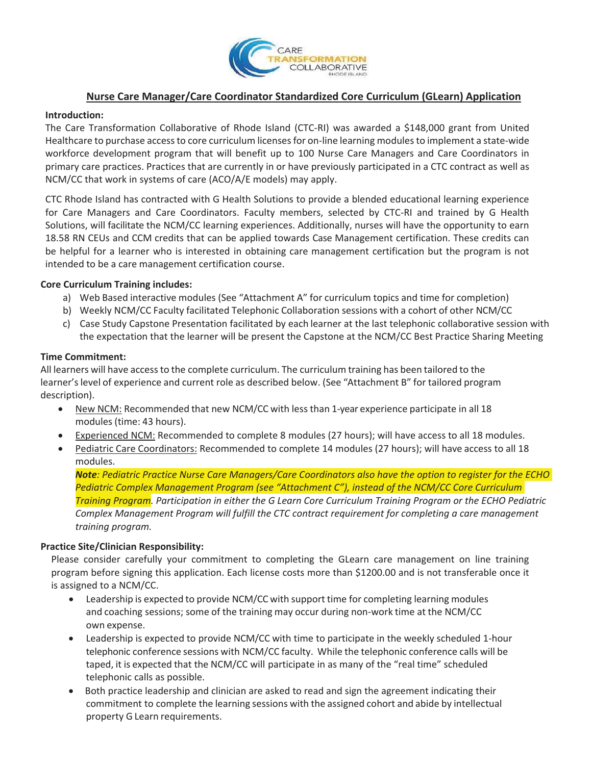

# **Nurse Care Manager/Care Coordinator Standardized Core Curriculum (GLearn) Application**

### **Introduction:**

The Care Transformation Collaborative of Rhode Island (CTC-RI) was awarded a \$148,000 grant from United Healthcare to purchase access to core curriculum licenses for on-line learning modules to implement a state-wide workforce development program that will benefit up to 100 Nurse Care Managers and Care Coordinators in primary care practices. Practices that are currently in or have previously participated in a CTC contract as well as NCM/CC that work in systems of care (ACO/A/E models) may apply.

CTC Rhode Island has contracted with G Health Solutions to provide a blended educational learning experience for Care Managers and Care Coordinators. Faculty members, selected by CTC-RI and trained by G Health Solutions, will facilitate the NCM/CC learning experiences. Additionally, nurses will have the opportunity to earn 18.58 RN CEUs and CCM credits that can be applied towards Case Management certification. These credits can be helpful for a learner who is interested in obtaining care management certification but the program is not intended to be a care management certification course.

## **Core Curriculum Training includes:**

- a) Web Based interactive modules (See "Attachment A" for curriculum topics and time for completion)
- b) Weekly NCM/CC Faculty facilitated Telephonic Collaboration sessions with a cohort of other NCM/CC
- c) Case Study Capstone Presentation facilitated by each learner at the last telephonic collaborative session with the expectation that the learner will be present the Capstone at the NCM/CC Best Practice Sharing Meeting

### **Time Commitment:**

All learners will have accessto the complete curriculum. The curriculum training has been tailored to the learner'slevel of experience and current role as described below. (See "Attachment B" for tailored program description).

- New NCM: Recommended that new NCM/CC with less than 1-year experience participate in all 18 modules (time: 43 hours).
- Experienced NCM: Recommended to complete 8 modules (27 hours); will have access to all 18 modules.
- Pediatric Care Coordinators: Recommended to complete 14 modules (27 hours); will have access to all 18 modules.

Note: Pediatric Practice Nurse Care Managers/Care Coordinators also have the option to register for the ECHO *Pediatric Complex Management Program (see "Attachment C"), instead of the NCM/CC Core Curriculum Training Program. Participation in either the G Learn Core Curriculum Training Program or the ECHO Pediatric Complex Management Program will fulfill the CTC contract requirement for completing a care management training program.*

### **Practice Site/Clinician Responsibility:**

Please consider carefully your commitment to completing the GLearn care management on line training program before signing this application. Each license costs more than \$1200.00 and is not transferable once it is assigned to a NCM/CC.

- Leadership is expected to provide NCM/CC with support time for completing learning modules and coaching sessions; some of the training may occur during non-work time at the NCM/CC own expense.
- Leadership is expected to provide NCM/CC with time to participate in the weekly scheduled 1-hour telephonic conference sessions with NCM/CC faculty. While the telephonic conference calls will be taped, it is expected that the NCM/CC will participate in as many of the "real time" scheduled telephonic calls as possible.
- Both practice leadership and clinician are asked to read and sign the agreement indicating their commitment to complete the learning sessions with the assigned cohort and abide by intellectual property G Learn requirements.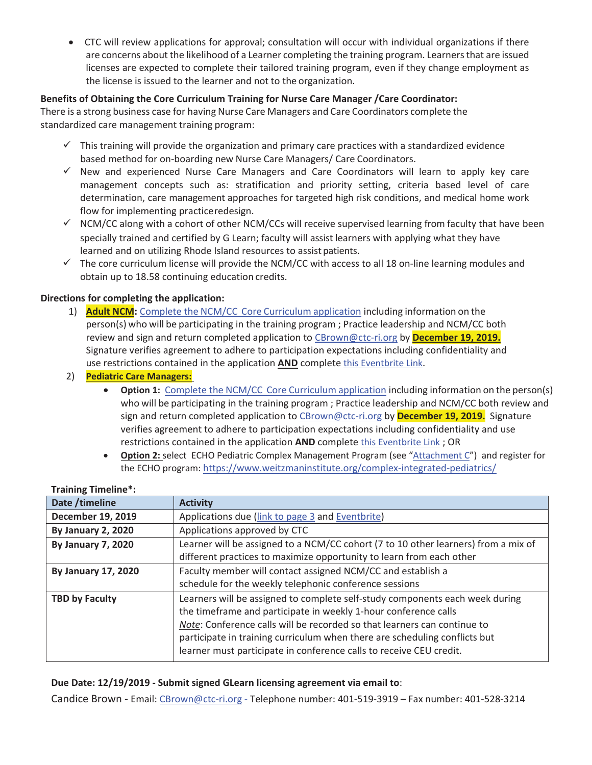• CTC will review applications for approval; consultation will occur with individual organizations if there are concerns about the likelihood of a Learner completing the training program. Learnersthat are issued licenses are expected to complete their tailored training program, even if they change employment as the license is issued to the learner and not to the organization.

## **Benefits of Obtaining the Core Curriculum Training for Nurse Care Manager /Care Coordinator:**

There is a strong business case for having Nurse Care Managers and Care Coordinators complete the standardized care management training program:

- $\checkmark$  This training will provide the organization and primary care practices with a standardized evidence based method for on-boarding new Nurse Care Managers/ Care Coordinators.
- $\checkmark$  New and experienced Nurse Care Managers and Care Coordinators will learn to apply key care management concepts such as: stratification and priority setting, criteria based level of care determination, care management approaches for targeted high risk conditions, and medical home work flow for implementing practiceredesign.
- $\checkmark$  NCM/CC along with a cohort of other NCM/CCs will receive supervised learning from faculty that have been specially trained and certified by G Learn; faculty will assist learners with applying what they have learned and on utilizing Rhode Island resources to assist patients.
- 9 The core curriculum license will provide the NCM/CC with access to all 18 onͲline learning modules and obtain up to 18.58 continuing education credits.

## **Directions for completing the application:**

- 1) **Adult NCM:** Complete the NCM/CC Core Curriculum [application](https://www.ctc-ri.org/sites/default/files/uploads/Page%203%20-%20Agreement%20Only%20-%20v2%2011.22.19.pdf) including information on the person(s) who will be participating in the training program ; Practice leadership and NCM/CC both review and sign and return completed application to CBrown@ctc-ri.org by December 19, 2019. Signature verifies agreement to adhere to participation expectations including confidentiality and use restrictions contained in the application **AND** complete this [Eventbrite](https://www.eventbrite.com/e/glearn-participative-agreement-for-care-manager-curriculum-tickets-82058943509) Link.
- 2) **Pediatric Care Managers:**
	- **•** Option 1: Complete the NCM/CC Core Curriculum [application](https://www.ctc-ri.org/sites/default/files/uploads/Page%203%20-%20Agreement%20Only%20-%20v2%2011.22.19.pdf) including information on the person(s) who will be participating in the training program ; Practice leadership and NCM/CC both review and sign and return completed application to CBrown@ctc-ri.org by December 19, 2019. Signature verifies agreement to adhere to participation expectations including confidentiality and use restrictions contained in the application **AND** complete this [Eventbrite](https://www.eventbrite.com/e/glearn-participative-agreement-for-care-manager-curriculum-tickets-82058943509) Link ; OR
	- **•** Option 2: select ECHO Pediatric Complex Management Program (see ["Attachment](https://www.ctc-ri.org/sites/default/files/uploads/ECHO%20-%20NCM-CC%20GLearn%20Application%20-%20Participative%20Agreement%20v2%20-%2011.20.19%20-%20page%209.pdf) C") and register for the ECHO program: [https://www.weitzmaninstitute.org/complex](https://www.weitzmaninstitute.org/complex-integrated-pediatrics/)-integrated-pediatrics/

| Date /timeline             | <b>Activity</b>                                                                                                                                                                                                                                                                                                                                                                  |
|----------------------------|----------------------------------------------------------------------------------------------------------------------------------------------------------------------------------------------------------------------------------------------------------------------------------------------------------------------------------------------------------------------------------|
| December 19, 2019          | Applications due (link to page 3 and Eventbrite)                                                                                                                                                                                                                                                                                                                                 |
| <b>By January 2, 2020</b>  | Applications approved by CTC                                                                                                                                                                                                                                                                                                                                                     |
| <b>By January 7, 2020</b>  | Learner will be assigned to a NCM/CC cohort (7 to 10 other learners) from a mix of<br>different practices to maximize opportunity to learn from each other                                                                                                                                                                                                                       |
| <b>By January 17, 2020</b> | Faculty member will contact assigned NCM/CC and establish a<br>schedule for the weekly telephonic conference sessions                                                                                                                                                                                                                                                            |
| <b>TBD by Faculty</b>      | Learners will be assigned to complete self-study components each week during<br>the timeframe and participate in weekly 1-hour conference calls<br>Note: Conference calls will be recorded so that learners can continue to<br>participate in training curriculum when there are scheduling conflicts but<br>learner must participate in conference calls to receive CEU credit. |

## **Training Timeline\*:**

### **Due Date: 12/19/2019ͲSubmit signed GLearn licensing agreement via email to**:

Candice Brown - Email: CBrown@ctc-ri.org - Telephone number: 401-519-3919 – Fax number: 401-528-3214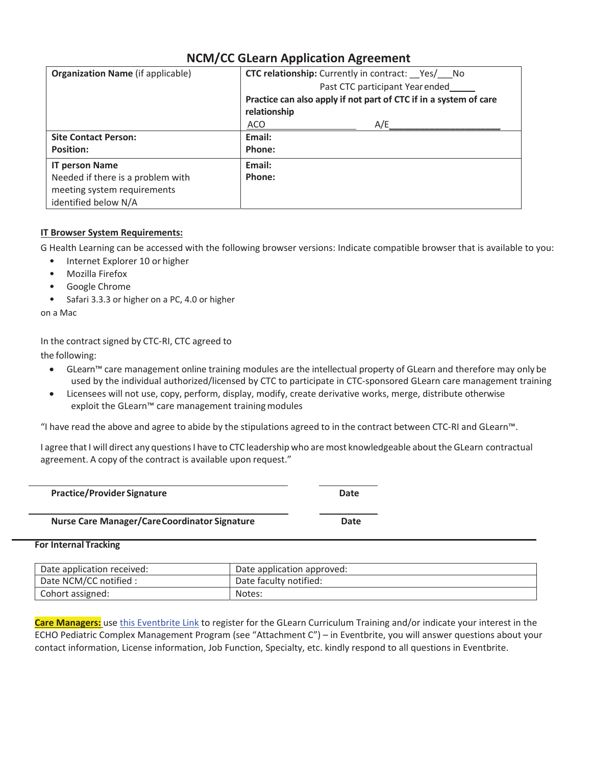# **NCM/CC GLearn Application Agreement**

| <b>Organization Name</b> (if applicable) | <b>CTC relationship:</b> Currently in contract: Yes/ No                           |  |  |  |  |  |
|------------------------------------------|-----------------------------------------------------------------------------------|--|--|--|--|--|
|                                          | Past CTC participant Year ended                                                   |  |  |  |  |  |
|                                          | Practice can also apply if not part of CTC if in a system of care<br>relationship |  |  |  |  |  |
|                                          | ACO<br>A/E                                                                        |  |  |  |  |  |
| <b>Site Contact Person:</b>              | Email:                                                                            |  |  |  |  |  |
| <b>Position:</b>                         | Phone:                                                                            |  |  |  |  |  |
| <b>IT person Name</b>                    | Email:                                                                            |  |  |  |  |  |
| Needed if there is a problem with        | Phone:                                                                            |  |  |  |  |  |
| meeting system requirements              |                                                                                   |  |  |  |  |  |
| identified below N/A                     |                                                                                   |  |  |  |  |  |

## **IT Browser System Requirements:**

G Health Learning can be accessed with the following browser versions: Indicate compatible browser that is available to you:

- Internet Explorer 10 or higher
- Mozilla Firefox
- Google Chrome
- Safari 3.3.3 or higher on a PC, 4.0 or higher

on a Mac

In the contract signed by CTC-RI, CTC agreed to

the following:

- GLearn™ care management online training modules are the intellectual property of GLearn and therefore may only be used by the individual authorized/licensed by CTC to participate in CTC-sponsored GLearn care management training
- Licensees will not use, copy, perform, display, modify, create derivative works, merge, distribute otherwise exploit the GLearn<sup>™</sup> care management training modules

"I have read the above and agree to abide by the stipulations agreed to in the contract between CTC-RI and GLearn™.

I agree that I will direct any questions I have to CTC leadership who are most knowledgeable about the GLearn contractual agreement. A copy of the contract is available upon request."

| <b>Practice/Provider Signature</b> | Date |
|------------------------------------|------|
|                                    |      |

**Nurse Care Manager/CareCoordinator Signature Date**

**For Internal Tracking**

| Date application received: | Date application approved: |
|----------------------------|----------------------------|
| Date NCM/CC notified :     | Date faculty notified:     |
| Cohort assigned:           | Notes:                     |

**Care Managers:** use this [Eventbrite](https://www.eventbrite.com/e/glearn-participative-agreement-for-care-manager-curriculum-tickets-82058943509) Link to register for the GLearn Curriculum Training and/or indicate your interest in the ECHO Pediatric Complex Management Program (see "Attachment C") – in Eventbrite, you will answer questions about your contact information, License information, Job Function, Specialty, etc. kindly respond to all questions in Eventbrite.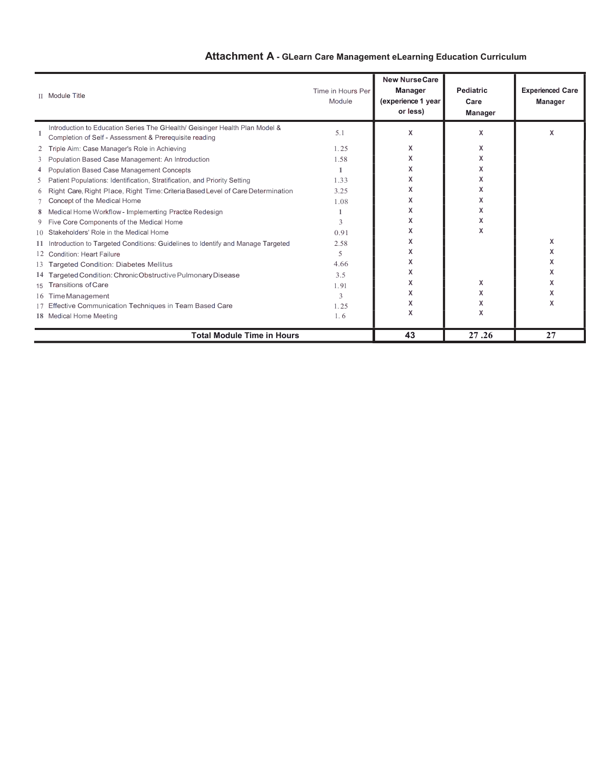# Attachment A - GLearn Care Management eLearning Education Curriculum

|   | <b>II</b> Module Title                                                                                                                | Time in Hours Per<br>Module | <b>New Nurse Care</b><br>Manager<br>(experience 1 year<br>or less) | Pediatric<br>Care<br>Manager | <b>Experienced Care</b><br>Manager |
|---|---------------------------------------------------------------------------------------------------------------------------------------|-----------------------------|--------------------------------------------------------------------|------------------------------|------------------------------------|
| 1 | Introduction to Education Series The GHealth/ Geisinger Health Plan Model &<br>Completion of Self - Assessment & Prerequisite reading | 5.1                         | X                                                                  | x                            | X                                  |
| 2 | Triple Aim: Case Manager's Role in Achieving                                                                                          | 1.25                        | X                                                                  | x                            |                                    |
| 3 | Population Based Case Management: An Introduction                                                                                     | 1.58                        | x                                                                  | x                            |                                    |
|   | <b>Population Based Case Management Concepts</b>                                                                                      |                             | x                                                                  | x                            |                                    |
| 5 | Patient Populations: Identification, Stratification, and Priority Setting                                                             | 1.33                        | x                                                                  | x                            |                                    |
| 6 | Right Care, Right Place, Right Time: Criteria Based Level of Care Determination                                                       | 3.25                        | x                                                                  | x                            |                                    |
|   | Concept of the Medical Home                                                                                                           | 1.08                        | X                                                                  | x                            |                                    |
|   | 8 Medical Home Workflow - Implementing Practice Redesign                                                                              |                             | x                                                                  | х                            |                                    |
|   | 9 Five Core Components of the Medical Home                                                                                            | $\mathcal{R}$               | x                                                                  | x                            |                                    |
|   | 10 Stakeholders' Role in the Medical Home                                                                                             | 0.91                        | x                                                                  | x                            |                                    |
|   | 11 Introduction to Targeted Conditions: Guidelines to Identify and Manage Targeted                                                    | 2.58                        | x                                                                  |                              | X                                  |
|   | 12 Condition: Heart Failure                                                                                                           | 5                           | x                                                                  |                              | χ                                  |
|   | 13 Targeted Condition: Diabetes Mellitus                                                                                              | 4.66                        | x                                                                  |                              | x                                  |
|   | 14 Targeted Condition: Chronic Obstructive Pulmonary Disease                                                                          | 3.5                         | x                                                                  |                              | x                                  |
|   | 15 Transitions of Care                                                                                                                | 1.91                        | X                                                                  | x                            | X                                  |
|   | 16 Time Management                                                                                                                    | 3                           | x                                                                  | x                            | x                                  |
|   | 17 Effective Communication Techniques in Team Based Care                                                                              | 1.25                        | χ                                                                  | x                            | χ                                  |
|   | 18 Medical Home Meeting                                                                                                               | 1.6                         | X                                                                  | x                            |                                    |
|   | <b>Total Module Time in Hours</b>                                                                                                     |                             | 43                                                                 | 27.26                        | 27                                 |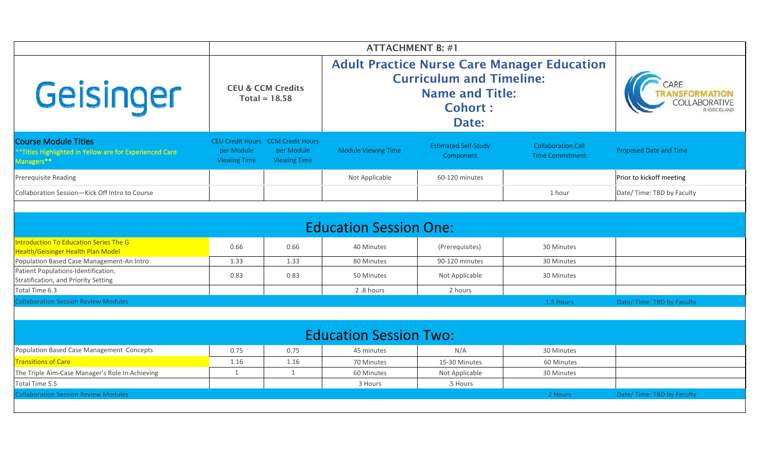| Geisinger                                                                                             |                                   | <b>CEU &amp; CCM Credits</b><br>Total = $18.58$                               | <b>Adult Practice Nurse Care Manager Education</b><br><b>Curriculum and Timeline:</b> |                                          |                                                     |                            |  |  |
|-------------------------------------------------------------------------------------------------------|-----------------------------------|-------------------------------------------------------------------------------|---------------------------------------------------------------------------------------|------------------------------------------|-----------------------------------------------------|----------------------------|--|--|
| <b>Course Module Titles</b><br>** Titles Highlighted in Yellow are for Experienced Care<br>Managers** | per Module<br><b>Viewing Time</b> | <b>CEU Credit Hours CCM Credit Hours</b><br>per Module<br><b>Viewing Time</b> | Module Viewing Time                                                                   | <b>Estimated Self-Study</b><br>Component | <b>Collaboration Call</b><br><b>Time Commitment</b> | Proposed Date and Time     |  |  |
| Prerequisite Reading                                                                                  |                                   |                                                                               | Not Applicable                                                                        | 60-120 minutes                           |                                                     | Prior to kickoff meeting   |  |  |
| Collaboration Session-Kick Off Intro to Course                                                        |                                   |                                                                               |                                                                                       |                                          | 1 hour                                              | Date/Time: TBD by Faculty  |  |  |
|                                                                                                       |                                   |                                                                               |                                                                                       |                                          |                                                     |                            |  |  |
|                                                                                                       |                                   |                                                                               | <b>Education Session One:</b>                                                         |                                          |                                                     |                            |  |  |
| Introduction To Education Series The G<br><b>Health/Geisinger Health Plan Model</b>                   | 0.66                              | 0.66                                                                          | 40 Minutes                                                                            | (Prerequisites)                          | 30 Minutes                                          |                            |  |  |
| Population Based Case Management-An Intro                                                             | 1.33                              | 1.33                                                                          | 80 Minutes                                                                            | 90-120 minutes                           | 30 Minutes                                          |                            |  |  |
| Patient Populations-Identification,<br>Stratification, and Priority Setting                           | 0.83                              | 0.83                                                                          | 50 Minutes                                                                            | Not Applicable                           | 30 Minutes                                          |                            |  |  |
| Total Time 6.3                                                                                        |                                   |                                                                               | 2.8 hours                                                                             | 2 hours                                  |                                                     |                            |  |  |
| <b>Collaboration Session Review Modules</b>                                                           |                                   |                                                                               |                                                                                       |                                          | 1.5 Hours                                           | Date/ Time: TBD by Faculty |  |  |
|                                                                                                       |                                   |                                                                               |                                                                                       |                                          |                                                     |                            |  |  |
| <b>Education Session Two:</b>                                                                         |                                   |                                                                               |                                                                                       |                                          |                                                     |                            |  |  |
| Population Based Case Management Concepts                                                             | 0.75                              | 0.75                                                                          | 45 minutes                                                                            | N/A                                      | 30 Minutes                                          |                            |  |  |
| <b>Transitions of Care</b>                                                                            | 1.16                              | 1.16                                                                          | 70 Minutes                                                                            | 15-30 Minutes                            | 60 Minutes                                          |                            |  |  |
| The Triple Aim-Case Manager's Role In Achieving                                                       | $\mathbf{1}$                      | 1                                                                             | 60 Minutes                                                                            | Not Applicable                           | 30 Minutes                                          |                            |  |  |
| Total Time 5.5                                                                                        |                                   |                                                                               | 3 Hours                                                                               | .5 Hours                                 |                                                     |                            |  |  |
| <b>Collaboration Session Review Modules</b>                                                           |                                   |                                                                               |                                                                                       |                                          | 2 Hours                                             | Date/ Time: TBD by Faculty |  |  |
|                                                                                                       |                                   |                                                                               |                                                                                       |                                          |                                                     |                            |  |  |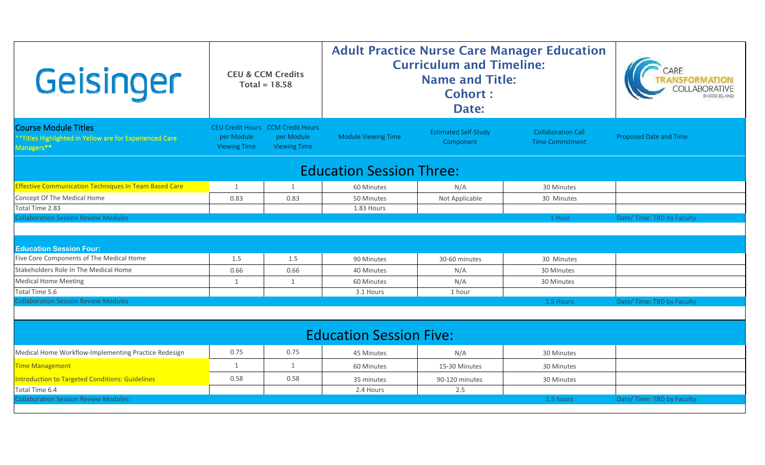| Geisinger                                                                                           |                                   | <b>CEU &amp; CCM Credits</b><br>Total = $18.58$                               | <b>Adult Practice Nurse Care Manager Education</b><br><b>Curriculum and Timeline:</b><br><b>Name and Title:</b><br><b>Cohort:</b><br>Date: |                                          |                                                     | COLLABO                    |  |  |  |  |
|-----------------------------------------------------------------------------------------------------|-----------------------------------|-------------------------------------------------------------------------------|--------------------------------------------------------------------------------------------------------------------------------------------|------------------------------------------|-----------------------------------------------------|----------------------------|--|--|--|--|
| <b>Course Module Titles</b><br>*Titles Highlighted in Yellow are for Experienced Care<br>Managers** | per Module<br><b>Viewing Time</b> | <b>CEU Credit Hours CCM Credit Hours</b><br>per Module<br><b>Viewing Time</b> | Module Viewing Time                                                                                                                        | <b>Estimated Self-Study</b><br>Component | <b>Collaboration Call</b><br><b>Time Commitment</b> | Proposed Date and Time     |  |  |  |  |
| <b>Education Session Three:</b>                                                                     |                                   |                                                                               |                                                                                                                                            |                                          |                                                     |                            |  |  |  |  |
| <b>Effective Communication Techniques In Team Based Care</b>                                        | 1                                 | 1                                                                             | 60 Minutes                                                                                                                                 | N/A                                      | 30 Minutes                                          |                            |  |  |  |  |
| Concept Of The Medical Home                                                                         | 0.83                              | 0.83                                                                          | 50 Minutes                                                                                                                                 | Not Applicable                           | 30 Minutes                                          |                            |  |  |  |  |
| Total Time 2.83                                                                                     |                                   |                                                                               | 1.83 Hours                                                                                                                                 |                                          |                                                     |                            |  |  |  |  |
| <b>Collaboration Session Review Modules</b>                                                         |                                   |                                                                               |                                                                                                                                            |                                          | 1 Hour                                              | Date/ Time: TBD by Faculty |  |  |  |  |
|                                                                                                     |                                   |                                                                               |                                                                                                                                            |                                          |                                                     |                            |  |  |  |  |
| <b>Education Session Four:</b>                                                                      |                                   |                                                                               |                                                                                                                                            |                                          |                                                     |                            |  |  |  |  |
| Five Core Components of The Medical Home                                                            | 1.5                               | 1.5                                                                           | 90 Minutes                                                                                                                                 | 30-60 minutes                            | 30 Minutes                                          |                            |  |  |  |  |
| Stakeholders Role In The Medical Home                                                               | 0.66                              | 0.66                                                                          | 40 Minutes                                                                                                                                 | N/A                                      | 30 Minutes                                          |                            |  |  |  |  |
| <b>Medical Home Meeting</b>                                                                         | $\mathbf{1}$                      | $\mathbf{1}$                                                                  | 60 Minutes                                                                                                                                 | N/A                                      | 30 Minutes                                          |                            |  |  |  |  |
| Total Time 5.6                                                                                      |                                   |                                                                               | 3.1 Hours                                                                                                                                  | 1 hour                                   |                                                     |                            |  |  |  |  |
| <b>Collaboration Session Review Modules</b>                                                         |                                   |                                                                               |                                                                                                                                            |                                          | 1.5 Hours                                           | Date/Time: TBD by Faculty  |  |  |  |  |
|                                                                                                     |                                   |                                                                               |                                                                                                                                            |                                          |                                                     |                            |  |  |  |  |
| <b>Education Session Five:</b>                                                                      |                                   |                                                                               |                                                                                                                                            |                                          |                                                     |                            |  |  |  |  |
| Medical Home Workflow-Implementing Practice Redesign                                                | 0.75                              | 0.75                                                                          | 45 Minutes                                                                                                                                 | N/A                                      | 30 Minutes                                          |                            |  |  |  |  |
| <b>Time Management</b>                                                                              | 1                                 | 1                                                                             | 60 Minutes                                                                                                                                 | 15-30 Minutes                            | 30 Minutes                                          |                            |  |  |  |  |
| Introduction to Targeted Conditions: Guidelines                                                     | 0.58                              | 0.58                                                                          | 35 minutes                                                                                                                                 | 90-120 minutes                           | 30 Minutes                                          |                            |  |  |  |  |
| Total Time 6.4                                                                                      |                                   |                                                                               | 2.4 Hours                                                                                                                                  | 2.5                                      |                                                     |                            |  |  |  |  |
| <b>Collaboration Session Review Modules:</b>                                                        |                                   |                                                                               |                                                                                                                                            |                                          | 1.5 hours                                           | Date/ Time: TBD by Faculty |  |  |  |  |
|                                                                                                     |                                   |                                                                               |                                                                                                                                            |                                          |                                                     |                            |  |  |  |  |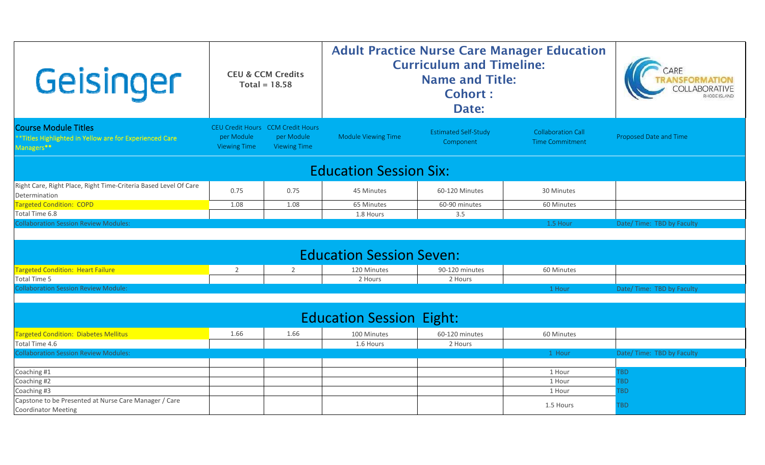| Geisinger                                                                                            |                                   | <b>CEU &amp; CCM Credits</b><br>Total = $18.58$                               | <b>Adult Practice Nurse Care Manager Education</b><br><b>Curriculum and Timeline:</b> | CARE<br>COLLABO                          |                                                     |                           |  |  |  |
|------------------------------------------------------------------------------------------------------|-----------------------------------|-------------------------------------------------------------------------------|---------------------------------------------------------------------------------------|------------------------------------------|-----------------------------------------------------|---------------------------|--|--|--|
| <b>Course Module Titles</b><br>**Titles Highlighted in Yellow are for Experienced Care<br>Managers** | per Module<br><b>Viewing Time</b> | <b>CEU Credit Hours CCM Credit Hours</b><br>per Module<br><b>Viewing Time</b> | <b>Module Viewing Time</b>                                                            | <b>Estimated Self-Study</b><br>Component | <b>Collaboration Call</b><br><b>Time Commitment</b> | Proposed Date and Time    |  |  |  |
| <b>Education Session Six:</b>                                                                        |                                   |                                                                               |                                                                                       |                                          |                                                     |                           |  |  |  |
| Right Care, Right Place, Right Time-Criteria Based Level Of Care<br>Determination                    | 0.75                              | 0.75                                                                          | 45 Minutes                                                                            | 60-120 Minutes                           | 30 Minutes                                          |                           |  |  |  |
| <b>Targeted Condition: COPD</b>                                                                      | 1.08                              | 1.08                                                                          | 65 Minutes                                                                            | 60-90 minutes                            | 60 Minutes                                          |                           |  |  |  |
| Total Time 6.8                                                                                       |                                   |                                                                               | 1.8 Hours                                                                             | 3.5                                      |                                                     |                           |  |  |  |
| <b>Collaboration Session Review Modules:</b>                                                         |                                   |                                                                               |                                                                                       |                                          | 1.5 Hour                                            | Date/Time: TBD by Faculty |  |  |  |
|                                                                                                      |                                   |                                                                               |                                                                                       |                                          |                                                     |                           |  |  |  |
|                                                                                                      |                                   |                                                                               | <b>Education Session Seven:</b>                                                       |                                          |                                                     |                           |  |  |  |
| <b>Targeted Condition: Heart Failure</b>                                                             | $\overline{2}$                    | 2                                                                             | 120 Minutes                                                                           | 90-120 minutes                           | 60 Minutes                                          |                           |  |  |  |
| Total Time 5                                                                                         |                                   |                                                                               | 2 Hours                                                                               | 2 Hours                                  |                                                     |                           |  |  |  |
| <b>Collaboration Session Review Module:</b>                                                          |                                   |                                                                               |                                                                                       |                                          | 1 Hour                                              | Date/Time: TBD by Faculty |  |  |  |
|                                                                                                      |                                   |                                                                               |                                                                                       |                                          |                                                     |                           |  |  |  |
| <b>Education Session Eight:</b>                                                                      |                                   |                                                                               |                                                                                       |                                          |                                                     |                           |  |  |  |
| <b>Targeted Condition: Diabetes Mellitus</b>                                                         | 1.66                              | 1.66                                                                          | 100 Minutes                                                                           | 60-120 minutes                           | 60 Minutes                                          |                           |  |  |  |
| Total Time 4.6                                                                                       |                                   |                                                                               | 1.6 Hours                                                                             | 2 Hours                                  |                                                     |                           |  |  |  |
| <b>Collaboration Session Review Modules:</b>                                                         |                                   |                                                                               |                                                                                       |                                          | 1 Hour                                              | Date/Time: TBD by Faculty |  |  |  |
|                                                                                                      |                                   |                                                                               |                                                                                       |                                          |                                                     |                           |  |  |  |
| Coaching #1                                                                                          |                                   |                                                                               |                                                                                       |                                          | 1 Hour                                              | TBD.                      |  |  |  |
| Coaching #2                                                                                          |                                   |                                                                               |                                                                                       |                                          | 1 Hour                                              | TBD.                      |  |  |  |
| Coaching #3                                                                                          |                                   |                                                                               |                                                                                       |                                          | 1 Hour                                              | TBD.                      |  |  |  |
| Capstone to be Presented at Nurse Care Manager / Care<br><b>Coordinator Meeting</b>                  |                                   |                                                                               |                                                                                       |                                          | 1.5 Hours                                           | TBD.                      |  |  |  |
|                                                                                                      |                                   |                                                                               |                                                                                       |                                          |                                                     |                           |  |  |  |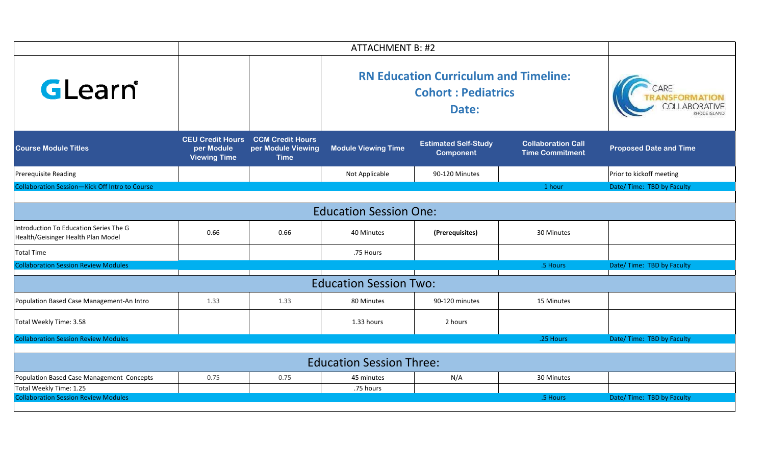|                                                                              |                                                              |                                                                                    | <b>ATTACHMENT B: #2</b>         |                                                 |                                                     |                               |  |  |
|------------------------------------------------------------------------------|--------------------------------------------------------------|------------------------------------------------------------------------------------|---------------------------------|-------------------------------------------------|-----------------------------------------------------|-------------------------------|--|--|
| GLearn®                                                                      |                                                              | <b>RN Education Curriculum and Timeline:</b><br><b>Cohort: Pediatrics</b><br>Date: |                                 |                                                 |                                                     |                               |  |  |
| <b>Course Module Titles</b>                                                  | <b>CEU Credit Hours</b><br>per Module<br><b>Viewing Time</b> | <b>CCM Credit Hours</b><br>per Module Viewing<br><b>Time</b>                       | <b>Module Viewing Time</b>      | <b>Estimated Self-Study</b><br><b>Component</b> | <b>Collaboration Call</b><br><b>Time Commitment</b> | <b>Proposed Date and Time</b> |  |  |
| Prerequisite Reading                                                         |                                                              |                                                                                    | Not Applicable                  | 90-120 Minutes                                  |                                                     | Prior to kickoff meeting      |  |  |
| Collaboration Session-Kick Off Intro to Course                               |                                                              |                                                                                    |                                 |                                                 | 1 hour                                              | Date/Time: TBD by Faculty     |  |  |
| <b>Education Session One:</b>                                                |                                                              |                                                                                    |                                 |                                                 |                                                     |                               |  |  |
| Introduction To Education Series The G<br>Health/Geisinger Health Plan Model | 0.66                                                         | 0.66                                                                               | 40 Minutes                      | (Prerequisites)                                 | 30 Minutes                                          |                               |  |  |
| <b>Total Time</b>                                                            |                                                              |                                                                                    | .75 Hours                       |                                                 |                                                     |                               |  |  |
| <b>Collaboration Session Review Modules</b>                                  |                                                              |                                                                                    |                                 |                                                 | .5 Hours                                            | Date/Time: TBD by Faculty     |  |  |
|                                                                              |                                                              |                                                                                    | <b>Education Session Two:</b>   |                                                 |                                                     |                               |  |  |
| Population Based Case Management-An Intro                                    | 1.33                                                         | 1.33                                                                               | 80 Minutes                      | 90-120 minutes                                  | 15 Minutes                                          |                               |  |  |
| Total Weekly Time: 3.58                                                      |                                                              |                                                                                    | 1.33 hours                      | 2 hours                                         |                                                     |                               |  |  |
| <b>Collaboration Session Review Modules</b>                                  |                                                              |                                                                                    |                                 |                                                 | .25 Hours                                           | Date/ Time: TBD by Faculty    |  |  |
|                                                                              |                                                              |                                                                                    |                                 |                                                 |                                                     |                               |  |  |
|                                                                              |                                                              |                                                                                    | <b>Education Session Three:</b> |                                                 |                                                     |                               |  |  |
| Population Based Case Management Concepts                                    | 0.75                                                         | 0.75                                                                               | 45 minutes                      | N/A                                             | 30 Minutes                                          |                               |  |  |
| Total Weekly Time: 1.25<br><b>Collaboration Session Review Modules</b>       |                                                              |                                                                                    | .75 hours                       |                                                 | .5 Hours                                            | Date/Time: TBD by Faculty     |  |  |
|                                                                              |                                                              |                                                                                    |                                 |                                                 |                                                     |                               |  |  |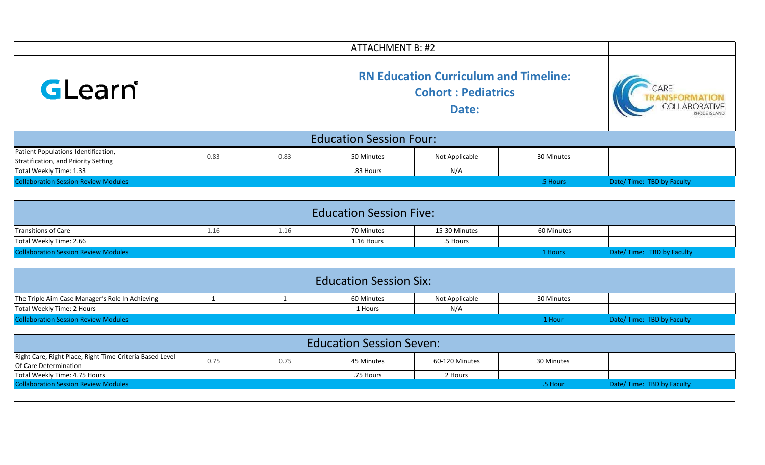|                                                                                                        |                                |                                                                                    | <b>ATTACHMENT B: #2</b>        |                       |            |                            |  |  |  |  |  |
|--------------------------------------------------------------------------------------------------------|--------------------------------|------------------------------------------------------------------------------------|--------------------------------|-----------------------|------------|----------------------------|--|--|--|--|--|
| GLearn®                                                                                                |                                | <b>RN Education Curriculum and Timeline:</b><br><b>Cohort: Pediatrics</b><br>Date: |                                |                       |            |                            |  |  |  |  |  |
|                                                                                                        | <b>Education Session Four:</b> |                                                                                    |                                |                       |            |                            |  |  |  |  |  |
| Patient Populations-Identification,<br>Stratification, and Priority Setting<br>Total Weekly Time: 1.33 | 0.83                           | 0.83                                                                               | 50 Minutes<br>.83 Hours        | Not Applicable<br>N/A | 30 Minutes |                            |  |  |  |  |  |
| <b>Collaboration Session Review Modules</b>                                                            |                                |                                                                                    |                                |                       | .5 Hours   | Date/ Time: TBD by Faculty |  |  |  |  |  |
|                                                                                                        |                                |                                                                                    | <b>Education Session Five:</b> |                       |            |                            |  |  |  |  |  |
| Transitions of Care                                                                                    | 1.16                           | 1.16                                                                               | 70 Minutes                     | 15-30 Minutes         | 60 Minutes |                            |  |  |  |  |  |
| Total Weekly Time: 2.66                                                                                |                                |                                                                                    | 1.16 Hours                     | .5 Hours              |            |                            |  |  |  |  |  |
| <b>Collaboration Session Review Modules</b>                                                            |                                |                                                                                    |                                |                       | 1 Hours    | Date/ Time: TBD by Faculty |  |  |  |  |  |
|                                                                                                        |                                |                                                                                    | <b>Education Session Six:</b>  |                       |            |                            |  |  |  |  |  |
| The Triple Aim-Case Manager's Role In Achieving                                                        | 1                              | 1                                                                                  | 60 Minutes                     | Not Applicable        | 30 Minutes |                            |  |  |  |  |  |
| Total Weekly Time: 2 Hours                                                                             |                                |                                                                                    | 1 Hours                        | N/A                   |            |                            |  |  |  |  |  |
| <b>Collaboration Session Review Modules</b>                                                            |                                |                                                                                    |                                |                       | 1 Hour     | Date/Time: TBD by Faculty  |  |  |  |  |  |
| <b>Education Session Seven:</b>                                                                        |                                |                                                                                    |                                |                       |            |                            |  |  |  |  |  |
| Right Care, Right Place, Right Time-Criteria Based Level<br>Of Care Determination                      | 0.75                           | 0.75                                                                               | 45 Minutes                     | 60-120 Minutes        | 30 Minutes |                            |  |  |  |  |  |
| Total Weekly Time: 4.75 Hours                                                                          |                                |                                                                                    | .75 Hours                      | 2 Hours               |            |                            |  |  |  |  |  |
| <b>Collaboration Session Review Modules</b>                                                            |                                |                                                                                    |                                |                       | .5 Hour    | Date/Time: TBD by Faculty  |  |  |  |  |  |
|                                                                                                        |                                |                                                                                    |                                |                       |            |                            |  |  |  |  |  |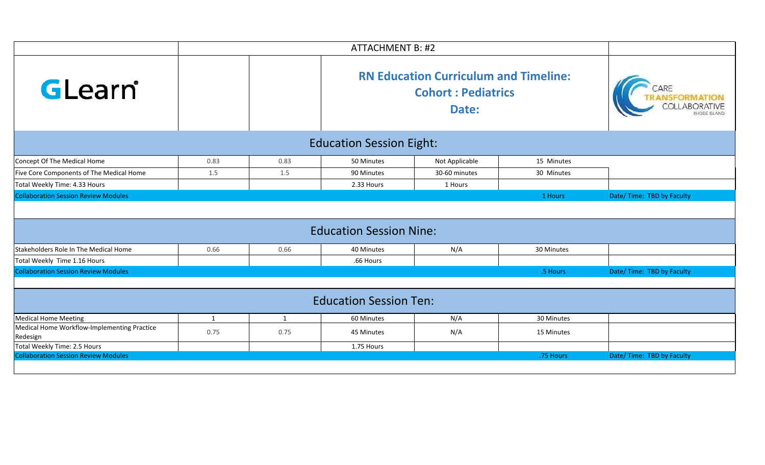|                                                         |                                                                                    |              | <b>ATTACHMENT B: #2</b>        |                |            |                            |  |  |  |  |
|---------------------------------------------------------|------------------------------------------------------------------------------------|--------------|--------------------------------|----------------|------------|----------------------------|--|--|--|--|
| GLearn®                                                 | <b>RN Education Curriculum and Timeline:</b><br><b>Cohort: Pediatrics</b><br>Date: |              |                                |                |            |                            |  |  |  |  |
| <b>Education Session Eight:</b>                         |                                                                                    |              |                                |                |            |                            |  |  |  |  |
| Concept Of The Medical Home                             | 0.83                                                                               | 0.83         | 50 Minutes                     | Not Applicable | 15 Minutes |                            |  |  |  |  |
| Five Core Components of The Medical Home                | 1.5                                                                                | 1.5          | 90 Minutes                     | 30-60 minutes  | 30 Minutes |                            |  |  |  |  |
| Total Weekly Time: 4.33 Hours                           |                                                                                    |              | 2.33 Hours                     | 1 Hours        |            |                            |  |  |  |  |
| <b>Collaboration Session Review Modules</b>             |                                                                                    |              |                                |                | 1 Hours    | Date/Time: TBD by Faculty  |  |  |  |  |
|                                                         |                                                                                    |              |                                |                |            |                            |  |  |  |  |
|                                                         |                                                                                    |              | <b>Education Session Nine:</b> |                |            |                            |  |  |  |  |
| Stakeholders Role In The Medical Home                   | 0.66                                                                               | 0.66         | 40 Minutes                     | N/A            | 30 Minutes |                            |  |  |  |  |
| Total Weekly Time 1.16 Hours                            |                                                                                    |              | .66 Hours                      |                |            |                            |  |  |  |  |
| <b>Collaboration Session Review Modules</b>             |                                                                                    |              |                                |                | .5 Hours   | Date/ Time: TBD by Faculty |  |  |  |  |
|                                                         |                                                                                    |              |                                |                |            |                            |  |  |  |  |
| <b>Education Session Ten:</b>                           |                                                                                    |              |                                |                |            |                            |  |  |  |  |
| <b>Medical Home Meeting</b>                             | 1                                                                                  | $\mathbf{1}$ | 60 Minutes                     | N/A            | 30 Minutes |                            |  |  |  |  |
| Medical Home Workflow-Implementing Practice<br>Redesign | 0.75                                                                               | 0.75         | 45 Minutes                     | N/A            | 15 Minutes |                            |  |  |  |  |
| Total Weekly Time: 2.5 Hours                            |                                                                                    |              | 1.75 Hours                     |                |            |                            |  |  |  |  |
| <b>Collaboration Session Review Modules</b>             |                                                                                    |              |                                |                | .75 Hours  | Date/Time: TBD by Faculty  |  |  |  |  |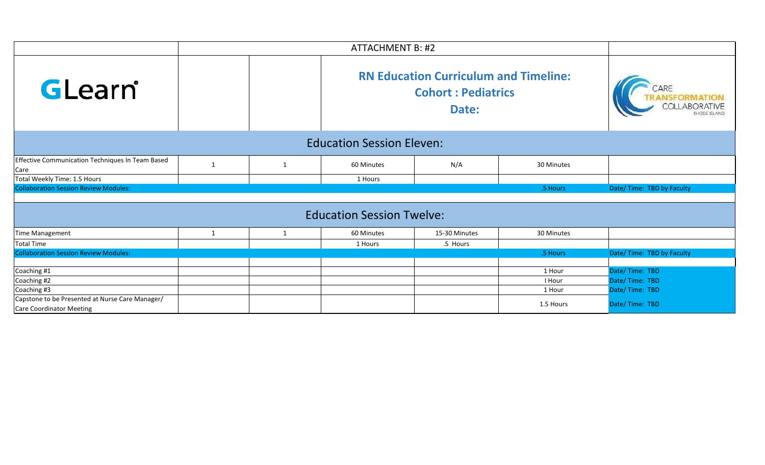|                                                          |                                              |                             | <b>ATTACHMENT B: #2</b>          |               |            |                            |  |  |  |  |
|----------------------------------------------------------|----------------------------------------------|-----------------------------|----------------------------------|---------------|------------|----------------------------|--|--|--|--|
| GLearn®                                                  | <b>RN Education Curriculum and Timeline:</b> | CARE<br><b>COLLABORATIV</b> |                                  |               |            |                            |  |  |  |  |
| <b>Education Session Eleven:</b>                         |                                              |                             |                                  |               |            |                            |  |  |  |  |
| Effective Communication Techniques In Team Based<br>Care | 1                                            | $\mathbf{1}$                | 60 Minutes                       | N/A           | 30 Minutes |                            |  |  |  |  |
| Total Weekly Time: 1.5 Hours                             |                                              |                             | 1 Hours                          |               |            |                            |  |  |  |  |
| <b>Collaboration Session Review Modules:</b>             |                                              |                             |                                  |               | .5 Hours   | Date/ Time: TBD by Faculty |  |  |  |  |
|                                                          |                                              |                             | <b>Education Session Twelve:</b> |               |            |                            |  |  |  |  |
| Time Management                                          | 1                                            | 1                           | 60 Minutes                       | 15-30 Minutes | 30 Minutes |                            |  |  |  |  |
| <b>Total Time</b>                                        |                                              |                             | 1 Hours                          | .5 Hours      |            |                            |  |  |  |  |
| <b>Collaboration Session Review Modules:</b>             |                                              |                             |                                  |               | .5 Hours   | Date/ Time: TBD by Faculty |  |  |  |  |
| Coaching #1                                              |                                              |                             |                                  |               | 1 Hour     | Date/Time: TBD             |  |  |  |  |
| Coaching #2                                              |                                              |                             |                                  |               | I Hour     | Date/Time: TBD             |  |  |  |  |
| Coaching #3                                              |                                              |                             |                                  |               | 1 Hour     | Date/Time: TBD             |  |  |  |  |
| Capstone to be Presented at Nurse Care Manager/          |                                              |                             |                                  |               | 1.5 Hours  | Date/Time: TBD             |  |  |  |  |
| <b>Care Coordinator Meeting</b>                          |                                              |                             |                                  |               |            |                            |  |  |  |  |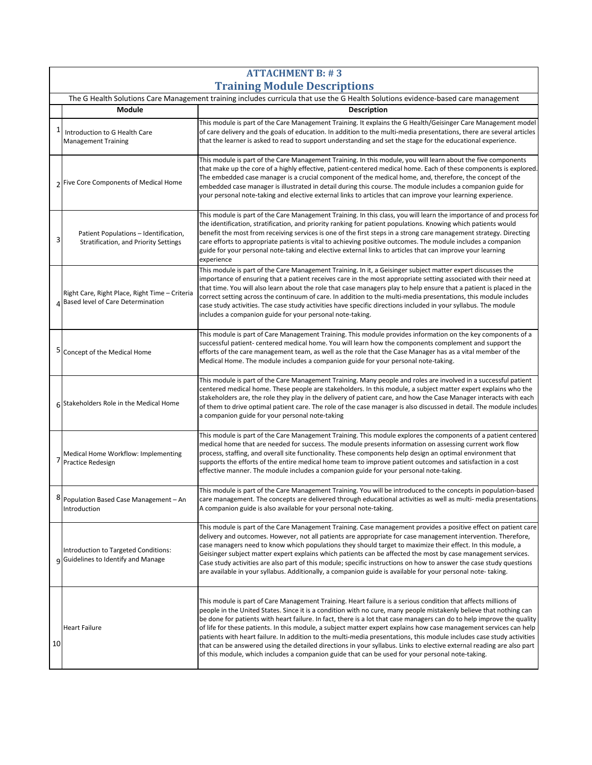| <b>ATTACHMENT B: #3</b> |                                                                                       |                                                                                                                                                                                                                                                                                                                                                                                                                                                                                                                                                                                                                                                                                                                                                                                                                                            |  |  |  |
|-------------------------|---------------------------------------------------------------------------------------|--------------------------------------------------------------------------------------------------------------------------------------------------------------------------------------------------------------------------------------------------------------------------------------------------------------------------------------------------------------------------------------------------------------------------------------------------------------------------------------------------------------------------------------------------------------------------------------------------------------------------------------------------------------------------------------------------------------------------------------------------------------------------------------------------------------------------------------------|--|--|--|
|                         | <b>Training Module Descriptions</b>                                                   |                                                                                                                                                                                                                                                                                                                                                                                                                                                                                                                                                                                                                                                                                                                                                                                                                                            |  |  |  |
|                         |                                                                                       | The G Health Solutions Care Management training includes curricula that use the G Health Solutions evidence-based care management                                                                                                                                                                                                                                                                                                                                                                                                                                                                                                                                                                                                                                                                                                          |  |  |  |
|                         | Module                                                                                | <b>Description</b>                                                                                                                                                                                                                                                                                                                                                                                                                                                                                                                                                                                                                                                                                                                                                                                                                         |  |  |  |
| 1                       | Introduction to G Health Care<br><b>Management Training</b>                           | This module is part of the Care Management Training. It explains the G Health/Geisinger Care Management model<br>of care delivery and the goals of education. In addition to the multi-media presentations, there are several articles<br>that the learner is asked to read to support understanding and set the stage for the educational experience.                                                                                                                                                                                                                                                                                                                                                                                                                                                                                     |  |  |  |
|                         | 2 Five Core Components of Medical Home                                                | This module is part of the Care Management Training. In this module, you will learn about the five components<br>that make up the core of a highly effective, patient-centered medical home. Each of these components is explored.<br>The embedded case manager is a crucial component of the medical home, and, therefore, the concept of the<br>embedded case manager is illustrated in detail during this course. The module includes a companion guide for<br>your personal note-taking and elective external links to articles that can improve your learning experience.                                                                                                                                                                                                                                                             |  |  |  |
| З                       | Patient Populations - Identification,<br>Stratification, and Priority Settings        | This module is part of the Care Management Training. In this class, you will learn the importance of and process for<br>the identification, stratification, and priority ranking for patient populations. Knowing which patients would<br>benefit the most from receiving services is one of the first steps in a strong care management strategy. Directing<br>care efforts to appropriate patients is vital to achieving positive outcomes. The module includes a companion<br>guide for your personal note-taking and elective external links to articles that can improve your learning<br>experience                                                                                                                                                                                                                                  |  |  |  |
|                         | Right Care, Right Place, Right Time - Criteria<br>A Based level of Care Determination | This module is part of the Care Management Training. In it, a Geisinger subject matter expert discusses the<br>importance of ensuring that a patient receives care in the most appropriate setting associated with their need at<br>that time. You will also learn about the role that case managers play to help ensure that a patient is placed in the<br>correct setting across the continuum of care. In addition to the multi-media presentations, this module includes<br>case study activities. The case study activities have specific directions included in your syllabus. The module<br>includes a companion guide for your personal note-taking.                                                                                                                                                                               |  |  |  |
|                         | 5 Concept of the Medical Home                                                         | This module is part of Care Management Training. This module provides information on the key components of a<br>successful patient- centered medical home. You will learn how the components complement and support the<br>efforts of the care management team, as well as the role that the Case Manager has as a vital member of the<br>Medical Home. The module includes a companion guide for your personal note-taking.                                                                                                                                                                                                                                                                                                                                                                                                               |  |  |  |
|                         | 6 Stakeholders Role in the Medical Home                                               | This module is part of the Care Management Training. Many people and roles are involved in a successful patient<br>centered medical home. These people are stakeholders. In this module, a subject matter expert explains who the<br>stakeholders are, the role they play in the delivery of patient care, and how the Case Manager interacts with each<br>of them to drive optimal patient care. The role of the case manager is also discussed in detail. The module includes<br>a companion guide for your personal note-taking                                                                                                                                                                                                                                                                                                         |  |  |  |
|                         | Medical Home Workflow: Implementing<br><b>Practice Redesign</b>                       | This module is part of the Care Management Training. This module explores the components of a patient centered<br>medical home that are needed for success. The module presents information on assessing current work flow<br>process, staffing, and overall site functionality. These components help design an optimal environment that<br>supports the efforts of the entire medical home team to improve patient outcomes and satisfaction in a cost<br>effective manner. The module includes a companion guide for your personal note-taking.                                                                                                                                                                                                                                                                                         |  |  |  |
|                         | <sup>8</sup> Population Based Case Management – An<br>Introduction                    | This module is part of the Care Management Training. You will be introduced to the concepts in population-based<br>care management. The concepts are delivered through educational activities as well as multi- media presentations.<br>A companion guide is also available for your personal note-taking.                                                                                                                                                                                                                                                                                                                                                                                                                                                                                                                                 |  |  |  |
|                         | Introduction to Targeted Conditions:<br>g Guidelines to Identify and Manage           | This module is part of the Care Management Training. Case management provides a positive effect on patient care<br>delivery and outcomes. However, not all patients are appropriate for case management intervention. Therefore,<br>case managers need to know which populations they should target to maximize their effect. In this module, a<br>Geisinger subject matter expert explains which patients can be affected the most by case management services.<br>Case study activities are also part of this module; specific instructions on how to answer the case study questions<br>are available in your syllabus. Additionally, a companion guide is available for your personal note-taking.                                                                                                                                     |  |  |  |
| 10                      | <b>Heart Failure</b>                                                                  | This module is part of Care Management Training. Heart failure is a serious condition that affects millions of<br>people in the United States. Since it is a condition with no cure, many people mistakenly believe that nothing can<br>be done for patients with heart failure. In fact, there is a lot that case managers can do to help improve the quality<br>of life for these patients. In this module, a subject matter expert explains how case management services can help<br>patients with heart failure. In addition to the multi-media presentations, this module includes case study activities<br>that can be answered using the detailed directions in your syllabus. Links to elective external reading are also part<br>of this module, which includes a companion guide that can be used for your personal note-taking. |  |  |  |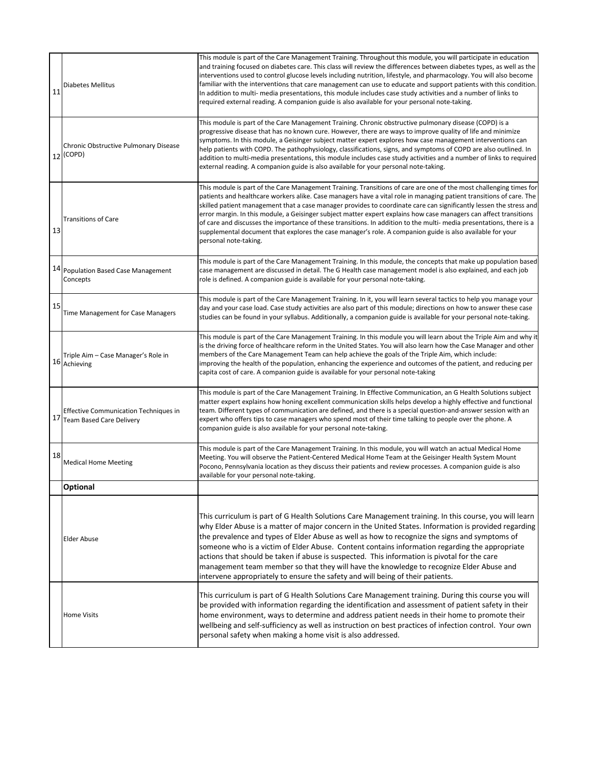| 11 | Diabetes Mellitus                                                           | This module is part of the Care Management Training. Throughout this module, you will participate in education<br>and training focused on diabetes care. This class will review the differences between diabetes types, as well as the<br>interventions used to control glucose levels including nutrition, lifestyle, and pharmacology. You will also become<br>familiar with the interventions that care management can use to educate and support patients with this condition.<br>In addition to multi- media presentations, this module includes case study activities and a number of links to<br>required external reading. A companion guide is also available for your personal note-taking.                                             |
|----|-----------------------------------------------------------------------------|---------------------------------------------------------------------------------------------------------------------------------------------------------------------------------------------------------------------------------------------------------------------------------------------------------------------------------------------------------------------------------------------------------------------------------------------------------------------------------------------------------------------------------------------------------------------------------------------------------------------------------------------------------------------------------------------------------------------------------------------------|
|    | Chronic Obstructive Pulmonary Disease<br>$12$ <sup>(COPD)</sup>             | This module is part of the Care Management Training. Chronic obstructive pulmonary disease (COPD) is a<br>progressive disease that has no known cure. However, there are ways to improve quality of life and minimize<br>symptoms. In this module, a Geisinger subject matter expert explores how case management interventions can<br>help patients with COPD. The pathophysiology, classifications, signs, and symptoms of COPD are also outlined. In<br>addition to multi-media presentations, this module includes case study activities and a number of links to required<br>external reading. A companion guide is also available for your personal note-taking.                                                                            |
| 13 | <b>Transitions of Care</b>                                                  | This module is part of the Care Management Training. Transitions of care are one of the most challenging times for<br>patients and healthcare workers alike. Case managers have a vital role in managing patient transitions of care. The<br>skilled patient management that a case manager provides to coordinate care can significantly lessen the stress and<br>error margin. In this module, a Geisinger subject matter expert explains how case managers can affect transitions<br>of care and discusses the importance of these transitions. In addition to the multi-media presentations, there is a<br>supplemental document that explores the case manager's role. A companion guide is also available for your<br>personal note-taking. |
|    | 14 Population Based Case Management<br>Concepts                             | This module is part of the Care Management Training. In this module, the concepts that make up population based<br>case management are discussed in detail. The G Health case management model is also explained, and each job<br>role is defined. A companion guide is available for your personal note-taking.                                                                                                                                                                                                                                                                                                                                                                                                                                  |
| 15 | Time Management for Case Managers                                           | This module is part of the Care Management Training. In it, you will learn several tactics to help you manage your<br>day and your case load. Case study activities are also part of this module; directions on how to answer these case<br>studies can be found in your syllabus. Additionally, a companion guide is available for your personal note-taking.                                                                                                                                                                                                                                                                                                                                                                                    |
|    | Triple Aim - Case Manager's Role in<br>16 Achieving                         | This module is part of the Care Management Training. In this module you will learn about the Triple Aim and why it<br>is the driving force of healthcare reform in the United States. You will also learn how the Case Manager and other<br>members of the Care Management Team can help achieve the goals of the Triple Aim, which include:<br>improving the health of the population, enhancing the experience and outcomes of the patient, and reducing per<br>capita cost of care. A companion guide is available for your personal note-taking                                                                                                                                                                                               |
|    | <b>Effective Communication Techniques in</b><br>17 Team Based Care Delivery | This module is part of the Care Management Training. In Effective Communication, an G Health Solutions subject<br>matter expert explains how honing excellent communication skills helps develop a highly effective and functional<br>team. Different types of communication are defined, and there is a special question-and-answer session with an<br>expert who offers tips to case managers who spend most of their time talking to people over the phone. A<br>companion guide is also available for your personal note-taking.                                                                                                                                                                                                              |
| 18 | <b>Medical Home Meeting</b>                                                 | This module is part of the Care Management Training. In this module, you will watch an actual Medical Home<br>Meeting. You will observe the Patient-Centered Medical Home Team at the Geisinger Health System Mount<br>Pocono, Pennsylvania location as they discuss their patients and review processes. A companion guide is also<br>available for your personal note-taking.                                                                                                                                                                                                                                                                                                                                                                   |
|    | <b>Optional</b>                                                             |                                                                                                                                                                                                                                                                                                                                                                                                                                                                                                                                                                                                                                                                                                                                                   |
|    | <b>Elder Abuse</b>                                                          | This curriculum is part of G Health Solutions Care Management training. In this course, you will learn<br>why Elder Abuse is a matter of major concern in the United States. Information is provided regarding<br>the prevalence and types of Elder Abuse as well as how to recognize the signs and symptoms of<br>someone who is a victim of Elder Abuse. Content contains information regarding the appropriate<br>actions that should be taken if abuse is suspected. This information is pivotal for the care<br>management team member so that they will have the knowledge to recognize Elder Abuse and<br>intervene appropriately to ensure the safety and will being of their patients.                                                   |
|    | <b>Home Visits</b>                                                          | This curriculum is part of G Health Solutions Care Management training. During this course you will<br>be provided with information regarding the identification and assessment of patient safety in their<br>home environment, ways to determine and address patient needs in their home to promote their<br>wellbeing and self-sufficiency as well as instruction on best practices of infection control. Your own<br>personal safety when making a home visit is also addressed.                                                                                                                                                                                                                                                               |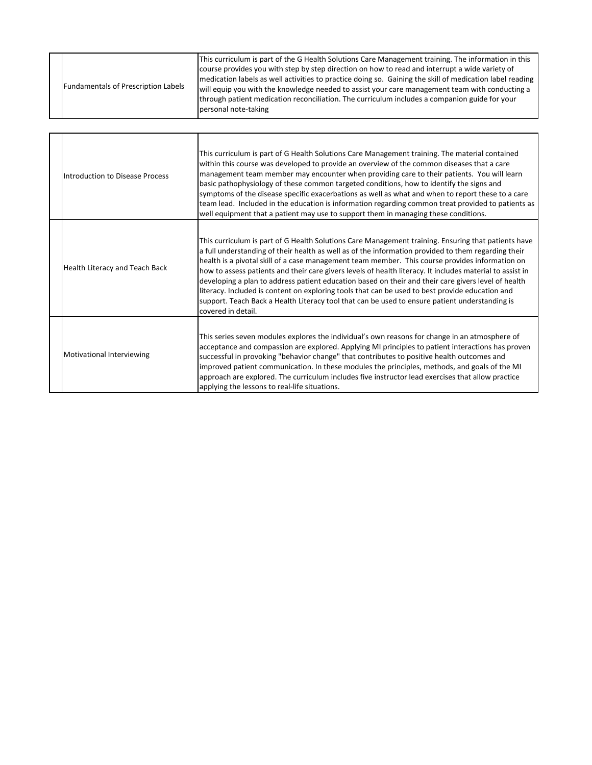|  | Fundamentals of Prescription Labels | This curriculum is part of the G Health Solutions Care Management training. The information in this<br>course provides you with step by step direction on how to read and interrupt a wide variety of<br>medication labels as well activities to practice doing so. Gaining the skill of medication label reading<br>will equip you with the knowledge needed to assist your care management team with conducting a<br>through patient medication reconciliation. The curriculum includes a companion guide for your<br>personal note-taking |
|--|-------------------------------------|----------------------------------------------------------------------------------------------------------------------------------------------------------------------------------------------------------------------------------------------------------------------------------------------------------------------------------------------------------------------------------------------------------------------------------------------------------------------------------------------------------------------------------------------|
|--|-------------------------------------|----------------------------------------------------------------------------------------------------------------------------------------------------------------------------------------------------------------------------------------------------------------------------------------------------------------------------------------------------------------------------------------------------------------------------------------------------------------------------------------------------------------------------------------------|

| Introduction to Disease Process | This curriculum is part of G Health Solutions Care Management training. The material contained<br>within this course was developed to provide an overview of the common diseases that a care<br>management team member may encounter when providing care to their patients. You will learn<br>basic pathophysiology of these common targeted conditions, how to identify the signs and<br>symptoms of the disease specific exacerbations as well as what and when to report these to a care<br>team lead. Included in the education is information regarding common treat provided to patients as<br>well equipment that a patient may use to support them in managing these conditions.                                                                     |
|---------------------------------|--------------------------------------------------------------------------------------------------------------------------------------------------------------------------------------------------------------------------------------------------------------------------------------------------------------------------------------------------------------------------------------------------------------------------------------------------------------------------------------------------------------------------------------------------------------------------------------------------------------------------------------------------------------------------------------------------------------------------------------------------------------|
| Health Literacy and Teach Back  | This curriculum is part of G Health Solutions Care Management training. Ensuring that patients have<br>a full understanding of their health as well as of the information provided to them regarding their<br>health is a pivotal skill of a case management team member. This course provides information on<br>how to assess patients and their care givers levels of health literacy. It includes material to assist in<br>developing a plan to address patient education based on their and their care givers level of health<br>literacy. Included is content on exploring tools that can be used to best provide education and<br>support. Teach Back a Health Literacy tool that can be used to ensure patient understanding is<br>covered in detail. |
| Motivational Interviewing       | This series seven modules explores the individual's own reasons for change in an atmosphere of<br>acceptance and compassion are explored. Applying MI principles to patient interactions has proven<br>successful in provoking "behavior change" that contributes to positive health outcomes and<br>improved patient communication. In these modules the principles, methods, and goals of the MI<br>approach are explored. The curriculum includes five instructor lead exercises that allow practice<br>applying the lessons to real-life situations.                                                                                                                                                                                                     |